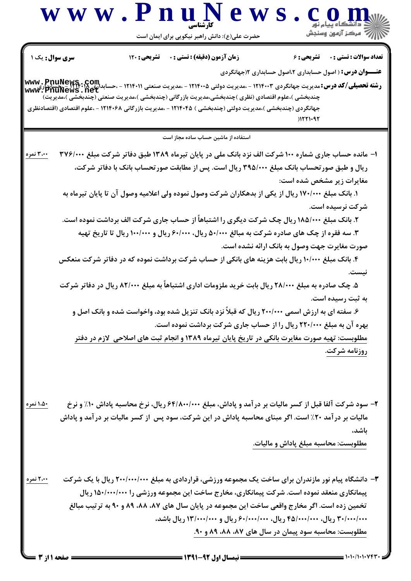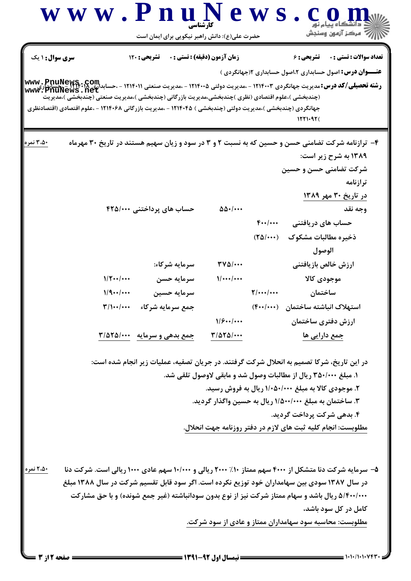| www.PnuNews                                                                                                                                                                                                                      | حضرت علی(ع): دانش راهبر نیکویی برای ایمان است | کار شناسے                            |                                       | رُ⁄ آمرڪز آزمون وسنڊش                                                                                                                                                                                                                                                                                                           |
|----------------------------------------------------------------------------------------------------------------------------------------------------------------------------------------------------------------------------------|-----------------------------------------------|--------------------------------------|---------------------------------------|---------------------------------------------------------------------------------------------------------------------------------------------------------------------------------------------------------------------------------------------------------------------------------------------------------------------------------|
| <b>سری سوال :</b> ۱ یک                                                                                                                                                                                                           | تشریحی : ۱۲۰                                  | <b>زمان آزمون (دقیقه) : تستی : 0</b> |                                       | <b>تعداد سوالات : تستي : 0</b><br><b>تشریحی : ۶</b><br><b>عنـــوان درس:</b> اصول حسابداری ۲،اصول حسابداری ۱(جهانگردی )                                                                                                                                                                                                          |
| www.PnuNews.ne<br>(چندبخشی )،علوم اقتصادی (نظری )چندبخشی،مدیریت بازرگانی (چندبخشی )،مدیریت صنعتی (چندبخشی )،مدیریت<br>جهانگردی (چندبخشی )،مدیریت دولتی (چندبخشی ) ۱۲۱۴۰۴۵ - ،مدیریت بازرگانی ۱۲۱۴۰۶۸ - ،علوم اقتصادی (اقتصادنظری |                                               |                                      |                                       | 12210926                                                                                                                                                                                                                                                                                                                        |
| ۵۰. ۳ نمره                                                                                                                                                                                                                       |                                               |                                      |                                       | ۴- ترازنامه شرکت تضامنی حسن و حسین که به نسبت ۲ و ۳ در سود و زیان سهیم هستند در تاریخ ۳۰ مهرماه                                                                                                                                                                                                                                 |
|                                                                                                                                                                                                                                  |                                               |                                      |                                       | ۱۳۸۹ به شرح زیر است:                                                                                                                                                                                                                                                                                                            |
|                                                                                                                                                                                                                                  |                                               |                                      |                                       | شرکت تضامنی حسن و حسین                                                                                                                                                                                                                                                                                                          |
|                                                                                                                                                                                                                                  |                                               |                                      |                                       | ترازنامه<br>در تاریخ ۳۰ مهر ۱۳۸۹                                                                                                                                                                                                                                                                                                |
|                                                                                                                                                                                                                                  | حساب های پرداختنی ۴۲۵/۰۰۰                     | $\Delta\Delta$ ./                    |                                       | وجه نقد                                                                                                                                                                                                                                                                                                                         |
|                                                                                                                                                                                                                                  |                                               |                                      | $F_{**}/$                             | حساب های دریافتنی                                                                                                                                                                                                                                                                                                               |
|                                                                                                                                                                                                                                  |                                               |                                      | $(T\Delta/\cdots)$                    | ذخيره مطالبات مشكوك                                                                                                                                                                                                                                                                                                             |
|                                                                                                                                                                                                                                  |                                               |                                      |                                       | الوصول                                                                                                                                                                                                                                                                                                                          |
|                                                                                                                                                                                                                                  | سرمایه شرکاء:                                 | $\mathbf{r} \mathbf{v} \mathbf{w}$   |                                       | ارزش خالص بازيافتني                                                                                                                                                                                                                                                                                                             |
| $1/\Upsilon$ /                                                                                                                                                                                                                   | سرمايه حسن                                    | 1                                    |                                       | موجودى كالا                                                                                                                                                                                                                                                                                                                     |
| 1/9                                                                                                                                                                                                                              | سرمايه حسين                                   |                                      | $\frac{1}{\sqrt{1+\cdots}}$           | ساختمان                                                                                                                                                                                                                                                                                                                         |
| $\mathbf{r}/\mathbf{w}/\mathbf{w}$                                                                                                                                                                                               | جمع سرمايه شركاء                              |                                      | $(F \cdot \cdot   \cdot \cdot \cdot)$ | استهلاك انباشته ساختمان                                                                                                                                                                                                                                                                                                         |
|                                                                                                                                                                                                                                  |                                               | 1/8                                  |                                       | ارزش دفترى ساختمان                                                                                                                                                                                                                                                                                                              |
|                                                                                                                                                                                                                                  | جمع بدهی و سرمایه ۲/۵۲۵/۰۰۰                   | $\frac{1}{2}$                        |                                       | جمع دارایی ها                                                                                                                                                                                                                                                                                                                   |
|                                                                                                                                                                                                                                  |                                               |                                      |                                       | در این تاریخ، شرکا تصمیم به انحلال شرکت گرفتند. در جریان تصفیه، عملیات زیر انجام شده است:                                                                                                                                                                                                                                       |
|                                                                                                                                                                                                                                  |                                               |                                      |                                       | ۱. مبلغ ۳۵۰/۰۰۰ ریال از مطالبات وصول شد و مابقی لاوصول تلقی شد.                                                                                                                                                                                                                                                                 |
|                                                                                                                                                                                                                                  |                                               |                                      |                                       | ۲. موجودی کالا به مبلغ ۱/۰۵۰/۰۰۰ ریال به فروش رسید.                                                                                                                                                                                                                                                                             |
|                                                                                                                                                                                                                                  |                                               |                                      |                                       | ۳. ساختمان به مبلغ ۱/۵۰۰/۰۰۰ ریال به حسین واگذار گردید.                                                                                                                                                                                                                                                                         |
|                                                                                                                                                                                                                                  |                                               |                                      |                                       | ۴. بدهی شرکت پرداخت گردید.                                                                                                                                                                                                                                                                                                      |
|                                                                                                                                                                                                                                  |                                               |                                      |                                       | مطلوبست: انجام کلیه ثبت های لازم در دفتر روزنامه جهت انحلال.                                                                                                                                                                                                                                                                    |
| ۲،۵۰ نمره                                                                                                                                                                                                                        |                                               |                                      |                                       | ۵- سرمایه شرکت دنا متشکل از ۴۰۰۰ سهم ممتاز ۱۰٪ ۲۰۰۰ ریالی و ۱۰/۰۰۰ سهم عادی ۱۰۰۰ ریالی است. شرکت دنا<br>در سال ۱۳۸۷ سودی بین سهامداران خود توزیع نکرده است. اگر سود قابل تقسیم شرکت در سال ۱۳۸۸ مبلغ<br>۵/۴۰۰/۰۰۰ ریال باشد و سهام ممتاز شرکت نیز از نوع بدون سودانباشته (غیر جمع شونده) و با حق مشارکت<br>کامل در کل سود باشد، |
|                                                                                                                                                                                                                                  |                                               | <b>ــــ نیمسال اول 92-1391 ـــ</b>   |                                       | مطلوبست: محاسبه سود سهامداران ممتاز و عادی از سود شرکت.                                                                                                                                                                                                                                                                         |